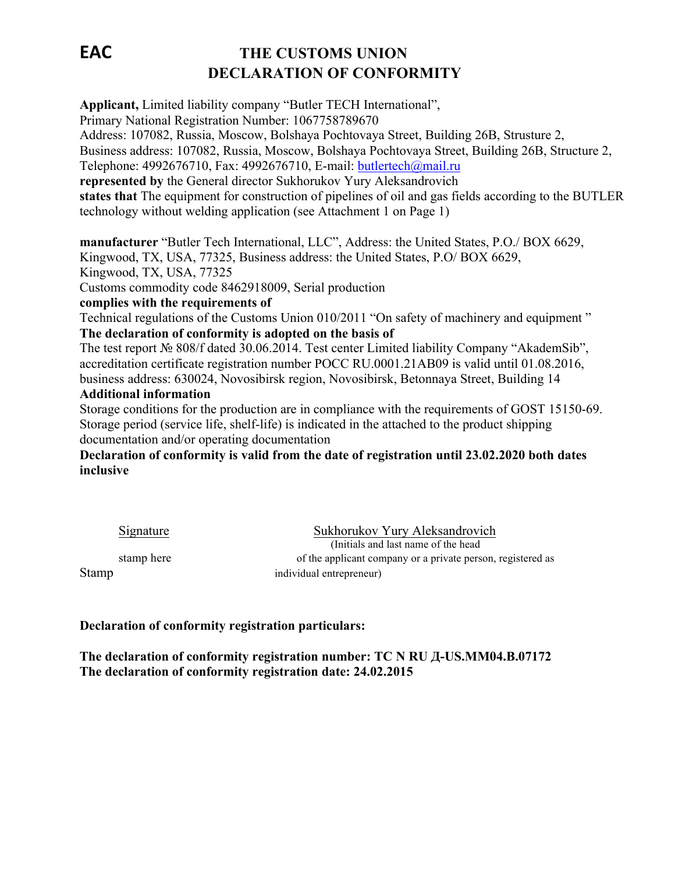# **EAC THE CUSTOMS UNION DECLARATION OF CONFORMITY**

**Applicant,** Limited liability company "Butler TECH International",

Primary National Registration Number: 1067758789670

Address: 107082, Russia, Moscow, Bolshaya Pochtovaya Street, Building 26B, Strusture 2,

Business address: 107082, Russia, Moscow, Bolshaya Pochtovaya Street, Building 26B, Structure 2,

Telephone: 4992676710, Fax: 4992676710, E-mail: butlertech@mail.ru

**represented by** the General director Sukhorukov Yury Aleksandrovich

**states that** The equipment for construction of pipelines of oil and gas fields according to the BUTLER technology without welding application (see Attachment 1 on Page 1)

**manufacturer** "Butler Tech International, LLC", Address: the United States, P.O./ BOX 6629,

Kingwood, TX, USA, 77325, Business address: the United States, P.O/ BOX 6629,

Kingwood, TX, USA, 77325

Customs commodity code 8462918009, Serial production

### **complies with the requirements of**

Technical regulations of the Customs Union 010/2011 "On safety of machinery and equipment " **The declaration of conformity is adopted on the basis of**

The test report № 808/f dated 30.06.2014. Test center Limited liability Company "AkademSib", accreditation certificate registration number РОСС RU.0001.21АВ09 is valid until 01.08.2016, business address: 630024, Novosibirsk region, Novosibirsk, Betonnaya Street, Building 14

#### **Additional information**

Storage conditions for the production are in compliance with the requirements of GOST 15150-69. Storage period (service life, shelf-life) is indicated in the attached to the product shipping documentation and/or operating documentation

**Declaration of conformity is valid from the date of registration until 23.02.2020 both dates inclusive**

Signature Sukhorukov Yury Aleksandrovich<br>(Initials and last name of the head) stamp here of the applicant company or a private person, registered as Stamp individual entrepreneur)

**Declaration of conformity registration particulars:**

**The declaration of conformity registration number: TC N RU Д-US.MM04.B.07172 The declaration of conformity registration date: 24.02.2015**